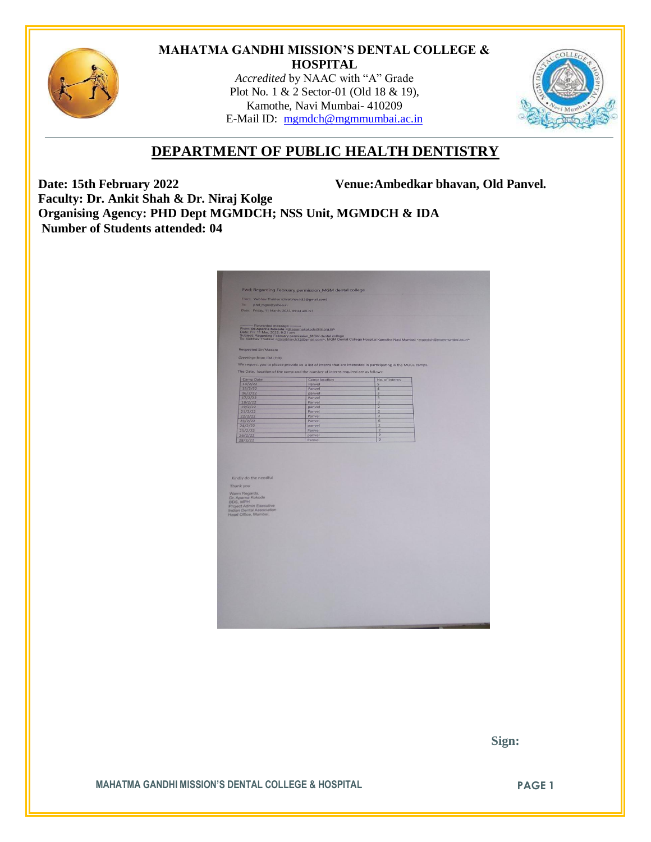

#### **MAHATMA GANDHI MISSION'S DENTAL COLLEGE & HOSPITAL**

*Accredited* by NAAC with "A" Grade Plot No. 1 & 2 Sector-01 (Old 18 & 19), Kamothe, Navi Mumbai- 410209 E-Mail ID: [mgmdch@mgmmumbai.ac.in](mailto:mgmdch@mgmmumbai.ac.in)



# **DEPARTMENT OF PUBLIC HEALTH DENTISTRY**

**Date: 15th February 2022 Venue:Ambedkar bhavan, Old Panvel.**

**Faculty: Dr. Ankit Shah & Dr. Niraj Kolge Organising Agency: PHD Dept MGMDCH; NSS Unit, MGMDCH & IDA Number of Students attended: 04**

|                                                                                                                      | Fwd: Regarding February permission_MGM dental college                             |                                                                                                                                                                                                                                                                  |  |
|----------------------------------------------------------------------------------------------------------------------|-----------------------------------------------------------------------------------|------------------------------------------------------------------------------------------------------------------------------------------------------------------------------------------------------------------------------------------------------------------|--|
| From Vaibhav Thakkar (drvaibhav.h32@gmail.com)<br>To:<br>phd_mgm@yahoo.in                                            |                                                                                   |                                                                                                                                                                                                                                                                  |  |
| Date: Friday, 11 March, 2022, 09:44 am IST                                                                           |                                                                                   |                                                                                                                                                                                                                                                                  |  |
|                                                                                                                      |                                                                                   |                                                                                                                                                                                                                                                                  |  |
|                                                                                                                      |                                                                                   | – Forwardsel message<br>From: Dr.Aparna Kokode vid apartosistikolo@til.crg.in><br>Date: Fri, 1 Mar, 2022, 9:21 amerikakin.do@til.crg.in><br>To: Valchav Thakkar <dr.aikher.bi22@gmel.com>, MGM Dental College Hospital Kamothe Navi Mu</dr.aikher.bi22@gmel.com> |  |
|                                                                                                                      |                                                                                   |                                                                                                                                                                                                                                                                  |  |
| Respected Sir/Madam                                                                                                  |                                                                                   |                                                                                                                                                                                                                                                                  |  |
| Greetings from IDA (HO)                                                                                              |                                                                                   |                                                                                                                                                                                                                                                                  |  |
|                                                                                                                      |                                                                                   | We request you to please provide us a list of interns that are interested in participating in the MOCC camps.                                                                                                                                                    |  |
|                                                                                                                      |                                                                                   |                                                                                                                                                                                                                                                                  |  |
|                                                                                                                      | The Date, location of the camp and the number of interns required are as follows: |                                                                                                                                                                                                                                                                  |  |
| Camp Date                                                                                                            | Camp location                                                                     | No. of interns                                                                                                                                                                                                                                                   |  |
| 14/2/22                                                                                                              | Panvel                                                                            | 5                                                                                                                                                                                                                                                                |  |
| 15/2/22                                                                                                              | Panvel                                                                            | $\overline{4}$                                                                                                                                                                                                                                                   |  |
| 16/2/22                                                                                                              | panvel                                                                            | $\overline{\mathbf{3}}$                                                                                                                                                                                                                                          |  |
| 17/2/22                                                                                                              | Panvel<br>Panvel                                                                  | $\overline{3}$<br>$\overline{3}$                                                                                                                                                                                                                                 |  |
| 18/2/22<br>19/2/22                                                                                                   | panvel                                                                            | $\overline{2}$                                                                                                                                                                                                                                                   |  |
| 21/2/22                                                                                                              | Panvel                                                                            | $\overline{2}$                                                                                                                                                                                                                                                   |  |
| 22/2/22                                                                                                              | Panvel                                                                            | $\overline{2}$                                                                                                                                                                                                                                                   |  |
| 23/2/22                                                                                                              | Panvel                                                                            | 6                                                                                                                                                                                                                                                                |  |
|                                                                                                                      | panvel                                                                            | $\overline{2}$                                                                                                                                                                                                                                                   |  |
|                                                                                                                      |                                                                                   |                                                                                                                                                                                                                                                                  |  |
|                                                                                                                      | Panvel                                                                            | $\overline{2}$                                                                                                                                                                                                                                                   |  |
| 24/2/22<br>25/2/22                                                                                                   | panvel<br>Panvel                                                                  | $\overline{2}$<br>$\overline{2}$                                                                                                                                                                                                                                 |  |
|                                                                                                                      |                                                                                   |                                                                                                                                                                                                                                                                  |  |
|                                                                                                                      |                                                                                   |                                                                                                                                                                                                                                                                  |  |
| 26/2/22<br>28/2/22<br>Kindly do the needful<br>Thank you                                                             |                                                                                   |                                                                                                                                                                                                                                                                  |  |
|                                                                                                                      |                                                                                   |                                                                                                                                                                                                                                                                  |  |
| Warm Regards,                                                                                                        |                                                                                   |                                                                                                                                                                                                                                                                  |  |
|                                                                                                                      |                                                                                   |                                                                                                                                                                                                                                                                  |  |
|                                                                                                                      |                                                                                   |                                                                                                                                                                                                                                                                  |  |
|                                                                                                                      |                                                                                   |                                                                                                                                                                                                                                                                  |  |
| Dr. Aparna Kokode<br>BDS, MPH<br>Project Admin Executive<br><b>Indian Dental Association</b><br>Head Office, Mumbai. |                                                                                   |                                                                                                                                                                                                                                                                  |  |
|                                                                                                                      |                                                                                   |                                                                                                                                                                                                                                                                  |  |
|                                                                                                                      |                                                                                   |                                                                                                                                                                                                                                                                  |  |
|                                                                                                                      |                                                                                   |                                                                                                                                                                                                                                                                  |  |
|                                                                                                                      |                                                                                   |                                                                                                                                                                                                                                                                  |  |
|                                                                                                                      |                                                                                   |                                                                                                                                                                                                                                                                  |  |
|                                                                                                                      |                                                                                   |                                                                                                                                                                                                                                                                  |  |
|                                                                                                                      |                                                                                   |                                                                                                                                                                                                                                                                  |  |
|                                                                                                                      |                                                                                   |                                                                                                                                                                                                                                                                  |  |
|                                                                                                                      |                                                                                   |                                                                                                                                                                                                                                                                  |  |
|                                                                                                                      |                                                                                   |                                                                                                                                                                                                                                                                  |  |
|                                                                                                                      |                                                                                   |                                                                                                                                                                                                                                                                  |  |
|                                                                                                                      |                                                                                   |                                                                                                                                                                                                                                                                  |  |
|                                                                                                                      |                                                                                   |                                                                                                                                                                                                                                                                  |  |
|                                                                                                                      |                                                                                   |                                                                                                                                                                                                                                                                  |  |
|                                                                                                                      |                                                                                   |                                                                                                                                                                                                                                                                  |  |
|                                                                                                                      |                                                                                   |                                                                                                                                                                                                                                                                  |  |

 **Sign:**

**MAHATMA GANDHI MISSION'S DENTAL COLLEGE & HOSPITAL PAGE 1**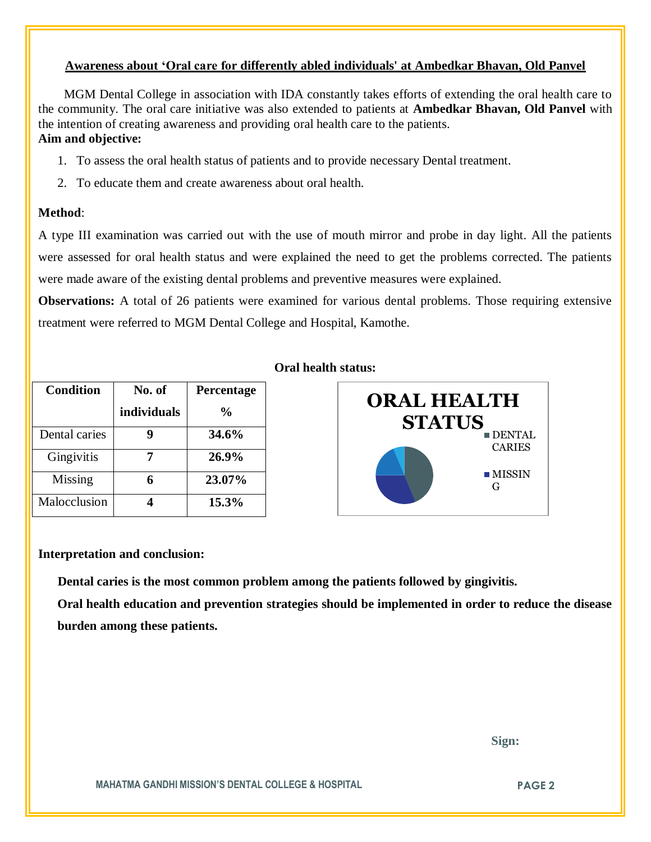# **Awareness about 'Oral care for differently abled individuals' at Ambedkar Bhavan, Old Panvel**

 MGM Dental College in association with IDA constantly takes efforts of extending the oral health care to the community. The oral care initiative was also extended to patients at **Ambedkar Bhavan, Old Panvel** with the intention of creating awareness and providing oral health care to the patients. **Aim and objective:** 

- 1. To assess the oral health status of patients and to provide necessary Dental treatment.
- 2. To educate them and create awareness about oral health.

# **Method**:

A type III examination was carried out with the use of mouth mirror and probe in day light. All the patients were assessed for oral health status and were explained the need to get the problems corrected. The patients were made aware of the existing dental problems and preventive measures were explained.

**Observations:** A total of 26 patients were examined for various dental problems. Those requiring extensive treatment were referred to MGM Dental College and Hospital, Kamothe.

| <b>Condition</b> | No. of      | Percentage |
|------------------|-------------|------------|
|                  | individuals | $\%$       |
| Dental caries    |             | 34.6%      |
| Gingivitis       |             | 26.9%      |
| Missing          |             | 23.07%     |
| Malocclusion     |             | 15.3%      |

#### **Oral health status:**



#### **Interpretation and conclusion:**

 **Dental caries is the most common problem among the patients followed by gingivitis.**

**Oral health education and prevention strategies should be implemented in order to reduce the disease burden among these patients.**

 **Sign:**

**MAHATMA GANDHI MISSION'S DENTAL COLLEGE & HOSPITAL PAGE 2**